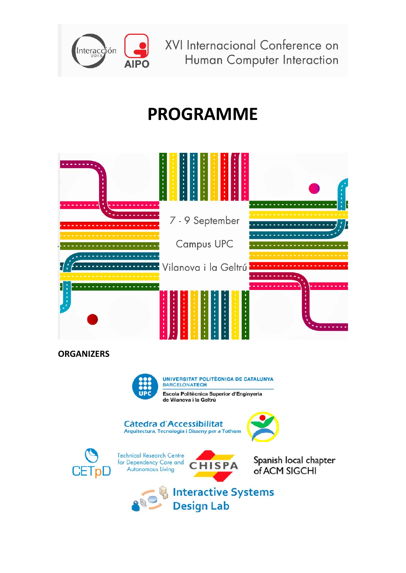

XVI Internacional Conference on Human Computer Interaction

## **PROGRAMME**



**ORGANIZERS**



UNIVERSITAT POLITÈCNICA DE CATALUNYA BARCELONATECH Escola Politècnica Superior d'Enginyeria

de Vilanova i la Geltrú







**Technical Research Centre** for Dependency Care and<br>Autonomous Living



Spanish local chapter of ACM SIGCHI

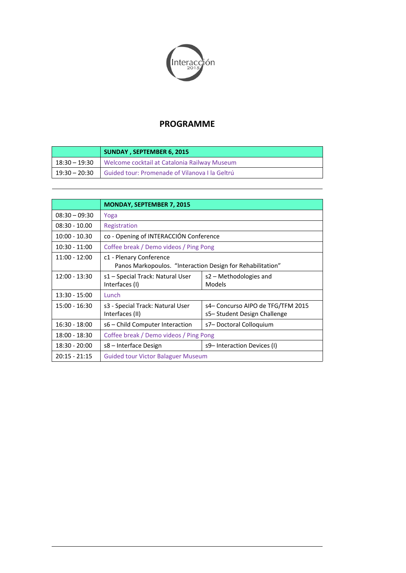

#### **PROGRAMME**

|                 | <b>SUNDAY, SEPTEMBER 6, 2015</b>               |  |
|-----------------|------------------------------------------------|--|
| 18:30 – 19:30   | Welcome cocktail at Catalonia Railway Museum   |  |
| $19:30 - 20:30$ | Guided tour: Promenade of Vilanova I la Geltrú |  |

|                 | <b>MONDAY, SEPTEMBER 7, 2015</b>                                                      |                                                                   |  |
|-----------------|---------------------------------------------------------------------------------------|-------------------------------------------------------------------|--|
| $08:30 - 09:30$ | Yoga                                                                                  |                                                                   |  |
| $08:30 - 10.00$ | Registration                                                                          |                                                                   |  |
| $10:00 - 10.30$ | co - Opening of INTERACCIÓN Conference                                                |                                                                   |  |
| $10:30 - 11:00$ | Coffee break / Demo videos / Ping Pong                                                |                                                                   |  |
| $11:00 - 12:00$ | c1 - Plenary Conference<br>Panos Markopoulos. "Interaction Design for Rehabilitation" |                                                                   |  |
| $12:00 - 13:30$ | s1 – Special Track: Natural User<br>Interfaces (I)                                    | s2 – Methodologies and<br>Models                                  |  |
| $13:30 - 15:00$ | Lunch                                                                                 |                                                                   |  |
| $15:00 - 16:30$ | s3 - Special Track: Natural User<br>Interfaces (II)                                   | s4- Concurso AIPO de TFG/TFM 2015<br>s5– Student Design Challenge |  |
| $16:30 - 18:00$ | s6 - Child Computer Interaction                                                       | s7-Doctoral Colloquium                                            |  |
| $18:00 - 18:30$ | Coffee break / Demo videos / Ping Pong                                                |                                                                   |  |
| $18:30 - 20:00$ | s8 – Interface Design                                                                 | s9– Interaction Devices (I)                                       |  |
| $20:15 - 21:15$ | <b>Guided tour Victor Balaguer Museum</b>                                             |                                                                   |  |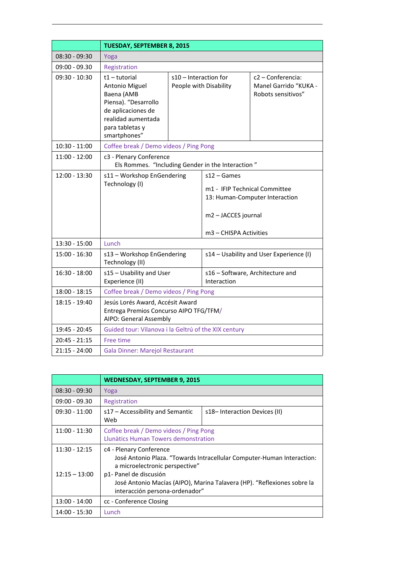|                 | <b>TUESDAY, SEPTEMBER 8, 2015</b>                                                                                                                  |                                                 |                                                                                                 |                                                                  |
|-----------------|----------------------------------------------------------------------------------------------------------------------------------------------------|-------------------------------------------------|-------------------------------------------------------------------------------------------------|------------------------------------------------------------------|
| $08:30 - 09:30$ | Yoga                                                                                                                                               |                                                 |                                                                                                 |                                                                  |
| $09:00 - 09.30$ | Registration                                                                                                                                       |                                                 |                                                                                                 |                                                                  |
| $09:30 - 10:30$ | t1-tutorial<br>Antonio Miguel<br>Baena (AMB<br>Piensa). "Desarrollo<br>de aplicaciones de<br>realidad aumentada<br>para tabletas y<br>smartphones" | s10 – Interaction for<br>People with Disability |                                                                                                 | c2 – Conferencia:<br>Manel Garrido "KUKA -<br>Robots sensitivos" |
| $10:30 - 11:00$ | Coffee break / Demo videos / Ping Pong                                                                                                             |                                                 |                                                                                                 |                                                                  |
| $11:00 - 12:00$ | c3 - Plenary Conference<br>Els Rommes. "Including Gender in the Interaction"                                                                       |                                                 |                                                                                                 |                                                                  |
| $12:00 - 13:30$ | s11 - Workshop EnGendering<br>Technology (I)                                                                                                       |                                                 | $s12 - Games$<br>m1 - IFIP Technical Committee<br>m2 - JACCES journal<br>m3 - CHISPA Activities | 13: Human-Computer Interaction                                   |
| $13:30 - 15:00$ | Lunch                                                                                                                                              |                                                 |                                                                                                 |                                                                  |
| $15:00 - 16:30$ | s13 - Workshop EnGendering<br>Technology (II)                                                                                                      |                                                 | s14 - Usability and User Experience (I)                                                         |                                                                  |
| $16:30 - 18:00$ | s15 - Usability and User<br>Experience (II)                                                                                                        |                                                 | s16 - Software, Architecture and<br>Interaction                                                 |                                                                  |
| $18:00 - 18:15$ | Coffee break / Demo videos / Ping Pong                                                                                                             |                                                 |                                                                                                 |                                                                  |
| 18:15 - 19:40   | Jesús Lorés Award, Accésit Award<br>Entrega Premios Concurso AIPO TFG/TFM/<br>AIPO: General Assembly                                               |                                                 |                                                                                                 |                                                                  |
| 19:45 - 20:45   | Guided tour: Vilanova i la Geltrú of the XIX century                                                                                               |                                                 |                                                                                                 |                                                                  |
| 20:45 - 21:15   | Free time                                                                                                                                          |                                                 |                                                                                                 |                                                                  |
| $21:15 - 24:00$ | <b>Gala Dinner: Marejol Restaurant</b>                                                                                                             |                                                 |                                                                                                 |                                                                  |

|                                    | <b>WEDNESDAY, SEPTEMBER 9, 2015</b>                                                                                                                                                                                                                                        |                              |  |
|------------------------------------|----------------------------------------------------------------------------------------------------------------------------------------------------------------------------------------------------------------------------------------------------------------------------|------------------------------|--|
| $08:30 - 09:30$                    | Yoga                                                                                                                                                                                                                                                                       |                              |  |
| $09:00 - 09.30$                    | Registration                                                                                                                                                                                                                                                               |                              |  |
| $09:30 - 11:00$                    | s17 - Accessibility and Semantic<br>Web                                                                                                                                                                                                                                    | s18–Interaction Devices (II) |  |
| $11:00 - 11:30$                    | Coffee break / Demo videos / Ping Pong<br>Llunàtics Human Towers demonstration                                                                                                                                                                                             |                              |  |
| $11:30 - 12:15$<br>$12:15 - 13:00$ | c4 - Plenary Conference<br>José Antonio Plaza. "Towards Intracellular Computer-Human Interaction:<br>a microelectronic perspective"<br>p1- Panel de discusión<br>José Antonio Macías (AIPO), Marina Talavera (HP). "Reflexiones sobre la<br>interacción persona-ordenador" |                              |  |
| 13:00 - 14:00                      | cc - Conference Closing                                                                                                                                                                                                                                                    |                              |  |
| 14:00 - 15:30                      | Lunch                                                                                                                                                                                                                                                                      |                              |  |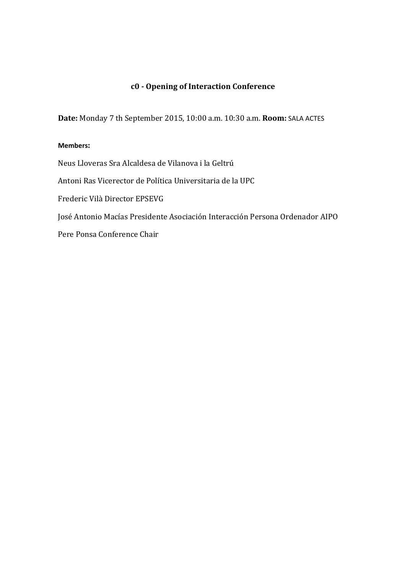### **c0 ‐ Opening of Interaction Conference**

**Date:** Monday 7 th September 2015, 10:00 a.m. 10:30 a.m. **Room:** SALA ACTES

#### **Members:**

Neus Lloveras Sra Alcaldesa de Vilanova i la Geltrú Antoni Ras Vicerector de Política Universitaria de la UPC Frederic Vilà Director EPSEVG José Antonio Macías Presidente Asociación Interacción Persona Ordenador AIPO Pere Ponsa Conference Chair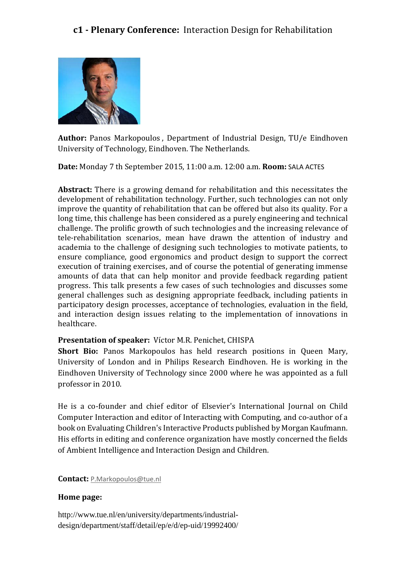

**Author:** Panos Markopoulos, Department of Industrial Design, TU/e Eindhoven University of Technology, Eindhoven. The Netherlands.

**Date:** Monday 7 th September 2015, 11:00 a.m. 12:00 a.m. **Room:** SALA ACTES

**Abstract:** There is a growing demand for rehabilitation and this necessitates the development of rehabilitation technology. Further, such technologies can not only improve the quantity of rehabilitation that can be offered but also its quality. For a long time, this challenge has been considered as a purely engineering and technical challenge. The prolific growth of such technologies and the increasing relevance of tele-rehabilitation scenarios, mean have drawn the attention of industry and academia to the challenge of designing such technologies to motivate patients, to ensure compliance, good ergonomics and product design to support the correct execution of training exercises, and of course the potential of generating immense amounts of data that can help monitor and provide feedback regarding patient progress. This talk presents a few cases of such technologies and discusses some general challenges such as designing appropriate feedback, including patients in participatory design processes, acceptance of technologies, evaluation in the field, and interaction design issues relating to the implementation of innovations in healthcare. 

#### **Presentation of speaker:** Víctor M.R. Penichet, CHISPA

**Short Bio:** Panos Markopoulos has held research positions in Queen Mary, University of London and in Philips Research Eindhoven. He is working in the Eindhoven University of Technology since 2000 where he was appointed as a full professor in 2010.

He is a co-founder and chief editor of Elsevier's International Journal on Child Computer Interaction and editor of Interacting with Computing, and co-author of a book on Evaluating Children's Interactive Products published by Morgan Kaufmann. His efforts in editing and conference organization have mostly concerned the fields of Ambient Intelligence and Interaction Design and Children.

**Contact:** P.Markopoulos@tue.nl

#### **Home page:**

http://www.tue.nl/en/university/departments/industrialdesign/department/staff/detail/ep/e/d/ep-uid/19992400/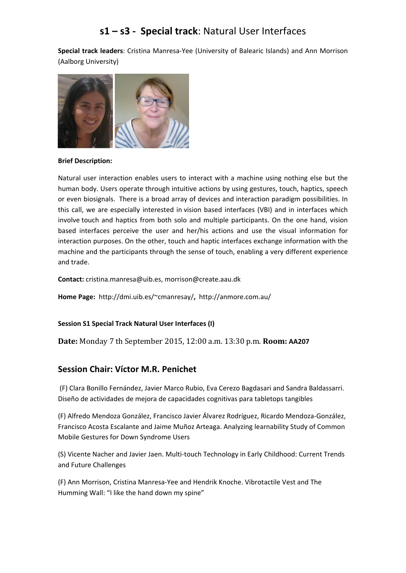## **s1 – s3 ‐ Special track**: Natural User Interfaces

**Special track leaders**: Cristina Manresa‐Yee (University of Balearic Islands) and Ann Morrison (Aalborg University)



#### **Brief Description:**

Natural user interaction enables users to interact with a machine using nothing else but the human body. Users operate through intuitive actions by using gestures, touch, haptics, speech or even biosignals. There is a broad array of devices and interaction paradigm possibilities. In this call, we are especially interested in vision based interfaces (VBI) and in interfaces which involve touch and haptics from both solo and multiple participants. On the one hand, vision based interfaces perceive the user and her/his actions and use the visual information for interaction purposes. On the other, touch and haptic interfaces exchange information with the machine and the participants through the sense of touch, enabling a very different experience and trade.

**Contact:** cristina.manresa@uib.es, morrison@create.aau.dk

**Home Page:** http://dmi.uib.es/~cmanresay/**,** http://anmore.com.au/

#### **Session S1 Special Track Natural User Interfaces (I)**

**Date:** Monday 7 th September 2015, 12:00 a.m. 13:30 p.m. **Room: AA207**

#### **Session Chair: Víctor M.R. Penichet**

(F) Clara Bonillo Fernández, Javier Marco Rubio, Eva Cerezo Bagdasari and Sandra Baldassarri. Diseño de actividades de mejora de capacidades cognitivas para tabletops tangibles

(F) Alfredo Mendoza González, Francisco Javier Álvarez Rodríguez, Ricardo Mendoza‐González, Francisco Acosta Escalante and Jaime Muñoz Arteaga. Analyzing learnability Study of Common Mobile Gestures for Down Syndrome Users

(S) Vicente Nacher and Javier Jaen. Multi‐touch Technology in Early Childhood: Current Trends and Future Challenges

(F) Ann Morrison, Cristina Manresa‐Yee and Hendrik Knoche. Vibrotactile Vest and The Humming Wall: "I like the hand down my spine"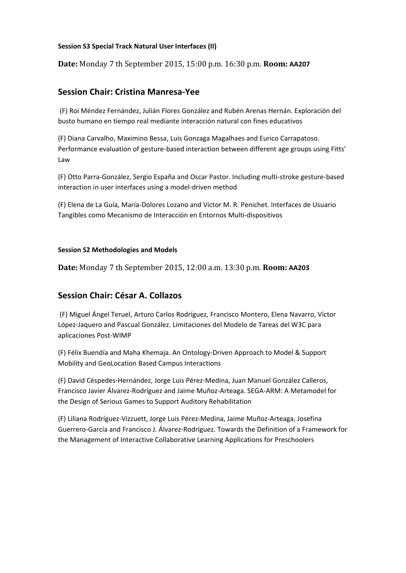#### **Session S3 Special Track Natural User Interfaces (II)**

**Date:** Monday 7 th September 2015, 15:00 p.m. 16:30 p.m. **Room: AA207**

#### **Session Chair: Cristina Manresa‐Yee**

(F) Roi Méndez Fernández, Julián Flores González and Rubén Arenas Hernán. Exploración del busto humano en tiempo real mediante interacción natural con fines educativos

(F) Diana Carvalho, Maximino Bessa, Luis Gonzaga Magalhaes and Eurico Carrapatoso. Performance evaluation of gesture‐based interaction between different age groups using Fitts' Law

(F) Otto Parra‐González, Sergio España and Oscar Pastor. Including multi‐stroke gesture‐based interaction in user interfaces using a model‐driven method

(F) Elena de La Guía, María‐Dolores Lozano and Víctor M. R. Penichet. Interfaces de Usuario Tangibles como Mecanismo de Interacción en Entornos Multi‐dispositivos

#### **Session S2 Methodologies and Models**

**Date:** Monday 7 th September 2015, 12:00 a.m. 13:30 p.m. **Room: AA203**

#### **Session Chair: César A. Collazos**

(F) Miguel Ángel Teruel, Arturo Carlos Rodríguez, Francisco Montero, Elena Navarro, Víctor López‐Jaquero and Pascual González. Limitaciones del Modelo de Tareas del W3C para aplicaciones Post‐WIMP

(F) Félix Buendía and Maha Khemaja. An Ontology‐Driven Approach to Model & Support Mobility and GeoLocation Based Campus Interactions

(F) David Céspedes‐Hernández, Jorge Luis Pérez‐Medina, Juan Manuel González Calleros, Francisco Javier Álvarez‐Rodríguez and Jaime Muñoz‐Arteaga. SEGA‐ARM: A Metamodel for the Design of Serious Games to Support Auditory Rehabilitation

(F) Liliana Rodríguez‐Vizzuett, Jorge Luis Pérez‐Medina, Jaime Muñoz‐Arteaga, Josefina Guerrero‐García and Francisco J. Álvarez‐Rodríguez. Towards the Definition of a Framework for the Management of Interactive Collaborative Learning Applications for Preschoolers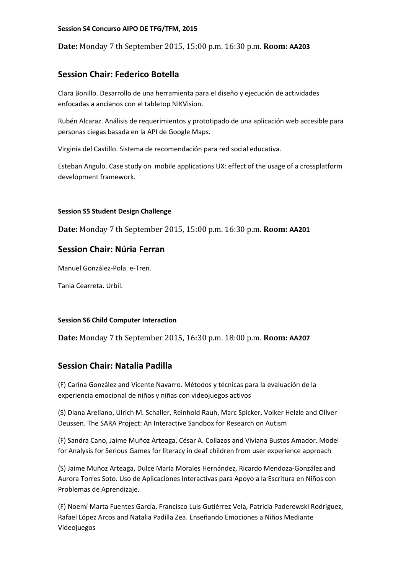#### **Session S4 Concurso AIPO DE TFG/TFM, 2015**

**Date:** Monday 7 th September 2015, 15:00 p.m. 16:30 p.m. **Room: AA203**

#### **Session Chair: Federico Botella**

Clara Bonillo. Desarrollo de una herramienta para el diseño y ejecución de actividades enfocadas a ancianos con el tabletop NIKVision.

Rubén Alcaraz. Análisis de requerimientos y prototipado de una aplicación web accesible para personas ciegas basada en la API de Google Maps.

Virginia del Castillo. Sistema de recomendación para red social educativa.

Esteban Angulo. Case study on mobile applications UX: effect of the usage of a crossplatform development framework.

#### **Session S5 Student Design Challenge**

**Date:** Monday 7 th September 2015, 15:00 p.m. 16:30 p.m. **Room: AA201**

#### **Session Chair: Núria Ferran**

Manuel González‐Pola. e‐Tren.

Tania Cearreta. Urbil.

#### **Session S6 Child Computer Interaction**

**Date:** Monday 7 th September 2015, 16:30 p.m. 18:00 p.m. **Room: AA207**

#### **Session Chair: Natalia Padilla**

(F) Carina González and Vicente Navarro. Métodos y técnicas para la evaluación de la experiencia emocional de niños y niñas con videojuegos activos

(S) Diana Arellano, Ulrich M. Schaller, Reinhold Rauh, Marc Spicker, Volker Helzle and Oliver Deussen. The SARA Project: An Interactive Sandbox for Research on Autism

(F) Sandra Cano, Jaime Muñoz Arteaga, César A. Collazos and Viviana Bustos Amador. Model for Analysis for Serious Games for literacy in deaf children from user experience approach

(S) Jaime Muñoz Arteaga, Dulce María Morales Hernández, Ricardo Mendoza‐González and Aurora Torres Soto. Uso de Aplicaciones Interactivas para Apoyo a la Escritura en Niños con Problemas de Aprendizaje.

(F) Noemí Marta Fuentes García, Francisco Luis Gutiérrez Vela, Patricia Paderewski Rodríguez, Rafael López Arcos and Natalia Padilla Zea. Enseñando Emociones a Niños Mediante Videojuegos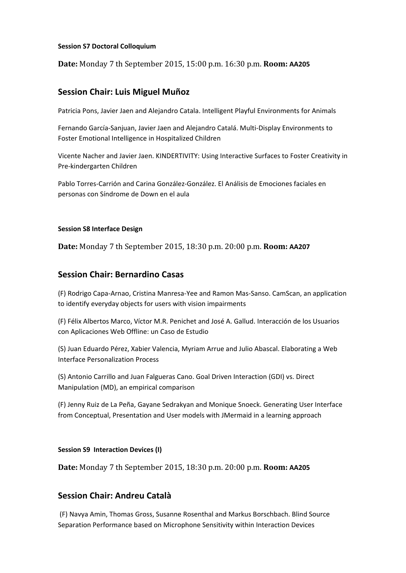#### **Session S7 Doctoral Colloquium**

**Date:** Monday 7 th September 2015, 15:00 p.m. 16:30 p.m. **Room: AA205**

#### **Session Chair: Luis Miguel Muñoz**

Patricia Pons, Javier Jaen and Alejandro Catala. Intelligent Playful Environments for Animals

Fernando García‐Sanjuan, Javier Jaen and Alejandro Catalá. Multi‐Display Environments to Foster Emotional Intelligence in Hospitalized Children

Vicente Nacher and Javier Jaen. KINDERTIVITY: Using Interactive Surfaces to Foster Creativity in Pre‐kindergarten Children

Pablo Torres‐Carrión and Carina González‐González. El Análisis de Emociones faciales en personas con Síndrome de Down en el aula

#### **Session S8 Interface Design**

**Date:** Monday 7 th September 2015, 18:30 p.m. 20:00 p.m. **Room: AA207**

#### **Session Chair: Bernardino Casas**

(F) Rodrigo Capa‐Arnao, Cristina Manresa‐Yee and Ramon Mas‐Sanso. CamScan, an application to identify everyday objects for users with vision impairments

(F) Félix Albertos Marco, Víctor M.R. Penichet and José A. Gallud. Interacción de los Usuarios con Aplicaciones Web Offline: un Caso de Estudio

(S) Juan Eduardo Pérez, Xabier Valencia, Myriam Arrue and Julio Abascal. Elaborating a Web Interface Personalization Process

(S) Antonio Carrillo and Juan Falgueras Cano. Goal Driven Interaction (GDI) vs. Direct Manipulation (MD), an empirical comparison

(F) Jenny Ruiz de La Peña, Gayane Sedrakyan and Monique Snoeck. Generating User Interface from Conceptual, Presentation and User models with JMermaid in a learning approach

#### **Session S9 Interaction Devices (I)**

**Date:** Monday 7 th September 2015, 18:30 p.m. 20:00 p.m. **Room: AA205**

#### **Session Chair: Andreu Català**

(F) Navya Amin, Thomas Gross, Susanne Rosenthal and Markus Borschbach. Blind Source Separation Performance based on Microphone Sensitivity within Interaction Devices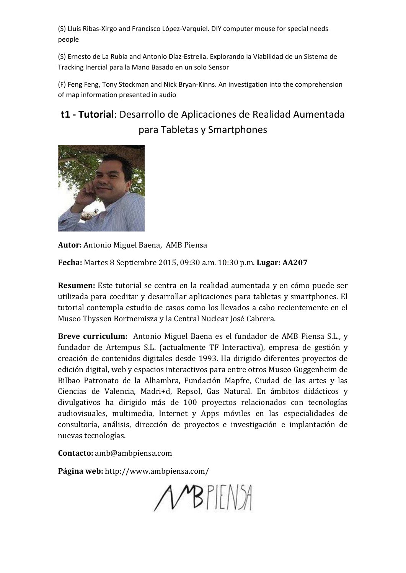(S) Lluís Ribas‐Xirgo and Francisco López‐Varquiel. DIY computer mouse for special needs people

(S) Ernesto de La Rubia and Antonio Díaz‐Estrella. Explorando la Viabilidad de un Sistema de Tracking Inercial para la Mano Basado en un solo Sensor

(F) Feng Feng, Tony Stockman and Nick Bryan‐Kinns. An investigation into the comprehension of map information presented in audio

## **t1 ‐ Tutorial**: Desarrollo de Aplicaciones de Realidad Aumentada para Tabletas y Smartphones



Autor: Antonio Miguel Baena, AMB Piensa

**Fecha:** Martes 8 Septiembre 2015, 09:30 a.m. 10:30 p.m. **Lugar: AA207**

**Resumen:** Este tutorial se centra en la realidad aumentada y en cómo puede ser utilizada para coeditar y desarrollar aplicaciones para tabletas y smartphones. El tutorial contempla estudio de casos como los llevados a cabo recientemente en el Museo Thyssen Bortnemisza y la Central Nuclear José Cabrera.

**Breve curriculum:** Antonio Miguel Baena es el fundador de AMB Piensa S.L., y fundador de Artempus S.L. (actualmente TF Interactiva), empresa de gestión y creación de contenidos digitales desde 1993. Ha dirigido diferentes proyectos de edición digital, web y espacios interactivos para entre otros Museo Guggenheim de Bilbao Patronato de la Alhambra, Fundación Mapfre, Ciudad de las artes y las Ciencias de Valencia, Madri+d, Repsol, Gas Natural. En ámbitos didácticos y divulgativos ha dirigido más de 100 proyectos relacionados con tecnologías audiovisuales, multimedia, Internet y Apps móviles en las especialidades de consultoría, análisis, dirección de proyectos e investigación e implantación de nuevas tecnologías. 

**Contacto:** amb@ambpiensa.com

**Página web:** http://www.ambpiensa.com/

 $\triangle$   $B$   $P$   $EN$   $A$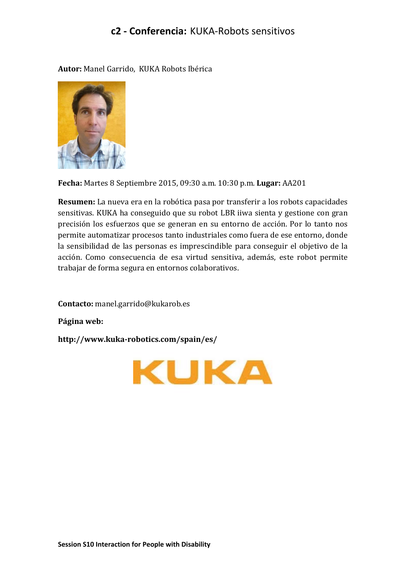## **c2 ‐ Conferencia:** KUKA‐Robots sensitivos

Autor: Manel Garrido, KUKA Robots Ibérica



**Fecha:** Martes 8 Septiembre 2015, 09:30 a.m. 10:30 p.m. **Lugar:** AA201 

**Resumen:** La nueva era en la robótica pasa por transferir a los robots capacidades sensitivas. KUKA ha conseguido que su robot LBR iiwa sienta y gestione con gran precisión los esfuerzos que se generan en su entorno de acción. Por lo tanto nos permite automatizar procesos tanto industriales como fuera de ese entorno, donde la sensibilidad de las personas es imprescindible para conseguir el objetivo de la acción. Como consecuencia de esa virtud sensitiva, además, este robot permite trabajar de forma segura en entornos colaborativos.

**Contacto:** manel.garrido@kukarob.es

**Página web:**

**http://www.kuka‐robotics.com/spain/es/**

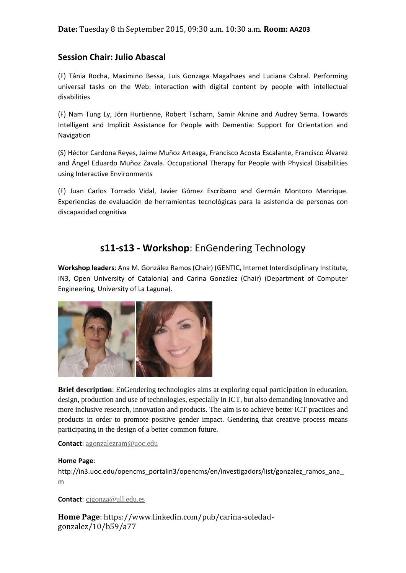#### **Session Chair: Julio Abascal**

(F) Tânia Rocha, Maximino Bessa, Luis Gonzaga Magalhaes and Luciana Cabral. Performing universal tasks on the Web: interaction with digital content by people with intellectual disabilities

(F) Nam Tung Ly, Jörn Hurtienne, Robert Tscharn, Samir Aknine and Audrey Serna. Towards Intelligent and Implicit Assistance for People with Dementia: Support for Orientation and Navigation

(S) Héctor Cardona Reyes, Jaime Muñoz Arteaga, Francisco Acosta Escalante, Francisco Álvarez and Ángel Eduardo Muñoz Zavala. Occupational Therapy for People with Physical Disabilities using Interactive Environments

(F) Juan Carlos Torrado Vidal, Javier Gómez Escribano and Germán Montoro Manrique. Experiencias de evaluación de herramientas tecnológicas para la asistencia de personas con discapacidad cognitiva

## **s11‐s13 ‐ Workshop**: EnGendering Technology

**Workshop leaders**: Ana M. González Ramos (Chair) (GENTIC, Internet Interdisciplinary Institute, IN3, Open University of Catalonia) and Carina González (Chair) (Department of Computer Engineering, University of La Laguna).



**Brief description**: EnGendering technologies aims at exploring equal participation in education, design, production and use of technologies, especially in ICT, but also demanding innovative and more inclusive research, innovation and products. The aim is to achieve better ICT practices and products in order to promote positive gender impact. Gendering that creative process means participating in the design of a better common future.

**Contact**: agonzalezram@uoc.edu

#### **Home Page**:

http://in3.uoc.edu/opencms\_portalin3/opencms/en/investigadors/list/gonzalez\_ramos\_ana m

**Contact**: cjgonza@ull.edu.es

**Home Page**: https://www.linkedin.com/pub/carina‐soledad‐ gonzalez/10/b59/a77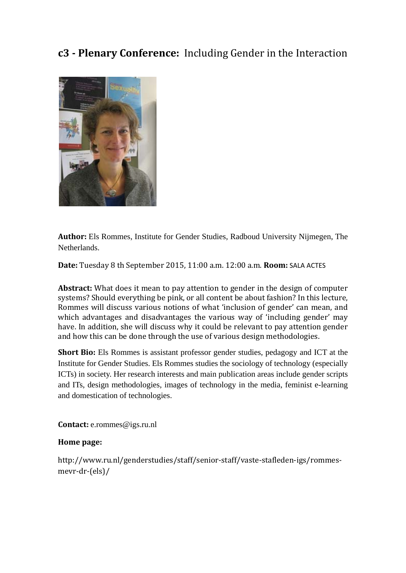## **c3** - Plenary Conference: Including Gender in the Interaction



**Author:** Els Rommes, Institute for Gender Studies, Radboud University Nijmegen, The Netherlands.

**Date:** Tuesday 8 th September 2015, 11:00 a.m. 12:00 a.m. **Room:** SALA ACTES

**Abstract:** What does it mean to pay attention to gender in the design of computer systems? Should everything be pink, or all content be about fashion? In this lecture, Rommes will discuss various notions of what 'inclusion of gender' can mean, and which advantages and disadvantages the various way of 'including gender' may have. In addition, she will discuss why it could be relevant to pay attention gender and how this can be done through the use of various design methodologies.

**Short Bio:** Els Rommes is assistant professor gender studies, pedagogy and ICT at the Institute for Gender Studies. Els Rommes studies the sociology of technology (especially ICTs) in society. Her research interests and main publication areas include gender scripts and ITs, design methodologies, images of technology in the media, feminist e-learning and domestication of technologies.

**Contact:** e.rommes@igs.ru.nl

#### **Home page:**

http://www.ru.nl/genderstudies/staff/senior‐staff/vaste‐stafleden‐igs/rommes‐ mevr‐dr‐(els)/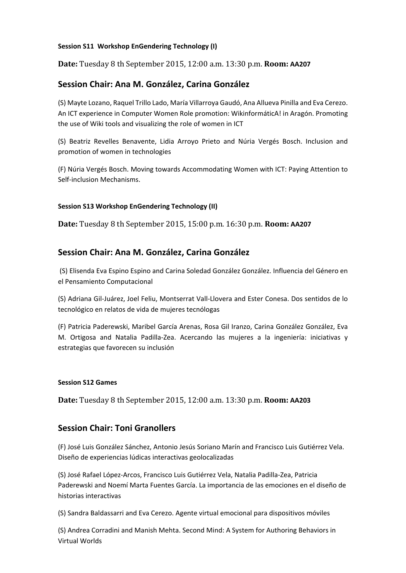#### **Session S11 Workshop EnGendering Technology (I)**

**Date:** Tuesday 8 th September 2015, 12:00 a.m. 13:30 p.m. **Room: AA207**

#### **Session Chair: Ana M. González, Carina González**

(S) Mayte Lozano, Raquel Trillo Lado, María Villarroya Gaudó, Ana Allueva Pinilla and Eva Cerezo. An ICT experience in Computer Women Role promotion: WikinformáticA! in Aragón. Promoting the use of Wiki tools and visualizing the role of women in ICT

(S) Beatriz Revelles Benavente, Lidia Arroyo Prieto and Núria Vergés Bosch. Inclusion and promotion of women in technologies

(F) Núria Vergés Bosch. Moving towards Accommodating Women with ICT: Paying Attention to Self‐inclusion Mechanisms.

#### **Session S13 Workshop EnGendering Technology (II)**

**Date:** Tuesday 8 th September 2015, 15:00 p.m. 16:30 p.m. **Room: AA207**

#### **Session Chair: Ana M. González, Carina González**

(S) Elisenda Eva Espino Espino and Carina Soledad González González. Influencia del Género en el Pensamiento Computacional

(S) Adriana Gil‐Juárez, Joel Feliu, Montserrat Vall‐Llovera and Ester Conesa. Dos sentidos de lo tecnológico en relatos de vida de mujeres tecnólogas

(F) Patricia Paderewski, Maribel García Arenas, Rosa Gil Iranzo, Carina González González, Eva M. Ortigosa and Natalia Padilla‐Zea. Acercando las mujeres a la ingeniería: iniciativas y estrategias que favorecen su inclusión

#### **Session S12 Games**

**Date:** Tuesday 8 th September 2015, 12:00 a.m. 13:30 p.m. **Room: AA203**

#### **Session Chair: Toni Granollers**

(F) José Luis González Sánchez, Antonio Jesús Soriano Marín and Francisco Luis Gutiérrez Vela. Diseño de experiencias lúdicas interactivas geolocalizadas

(S) José Rafael López‐Arcos, Francisco Luis Gutiérrez Vela, Natalia Padilla‐Zea, Patricia Paderewski and Noemí Marta Fuentes García. La importancia de las emociones en el diseño de historias interactivas

(S) Sandra Baldassarri and Eva Cerezo. Agente virtual emocional para dispositivos móviles

(S) Andrea Corradini and Manish Mehta. Second Mind: A System for Authoring Behaviors in Virtual Worlds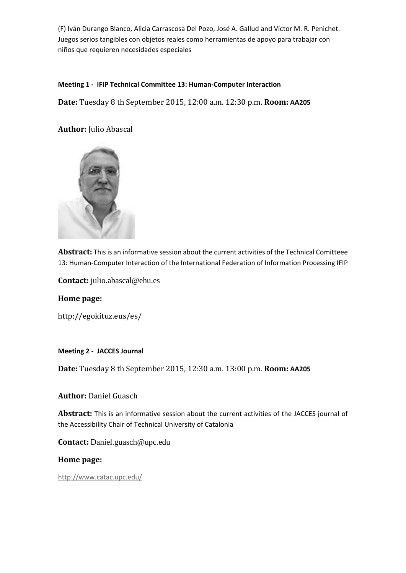(F) Iván Durango Blanco, Alicia Carrascosa Del Pozo, José A. Gallud and Víctor M. R. Penichet. Juegos serios tangibles con objetos reales como herramientas de apoyo para trabajar con niños que requieren necesidades especiales

#### **Meeting 1 ‐ IFIP Technical Committee 13: Human‐Computer Interaction**

**Date:** Tuesday 8 th September 2015, 12:00 a.m. 12:30 p.m. **Room: AA205**

**Author:** Julio Abascal 



**Abstract:** Thisis an informative session about the current activities of the Technical Comitteee 13: Human-Computer Interaction of the International Federation of Information Processing IFIP

**Contact:** julio.abascal@ehu.es

**Home page:**

http://egokituz.eus/es/ 

**Meeting 2 ‐ JACCES Journal**

**Date:** Tuesday 8 th September 2015, 12:30 a.m. 13:00 p.m. **Room: AA205**

**Author: Daniel Guasch** 

**Abstract:** This is an informative session about the current activities of the JACCES journal of the Accessibility Chair of Technical University of Catalonia

**Contact:** Daniel.guasch@upc.edu

**Home page:**

http://www.catac.upc.edu/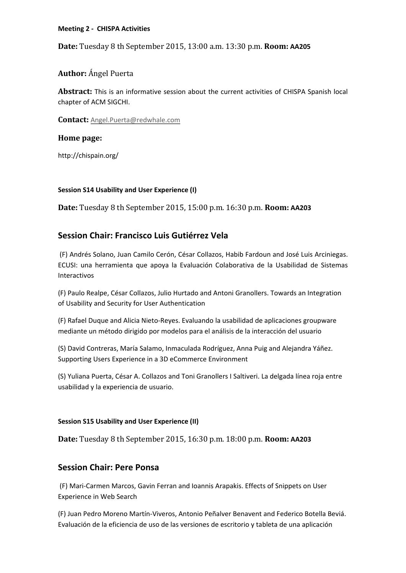#### **Meeting 2 ‐ CHISPA Activities**

**Date:** Tuesday 8 th September 2015, 13:00 a.m. 13:30 p.m. **Room: AA205**

**Author:** Ángel Puerta

**Abstract:** This is an informative session about the current activities of CHISPA Spanish local chapter of ACM SIGCHI.

**Contact:** Angel.Puerta@redwhale.com

**Home page:**

http://chispain.org/

#### **Session S14 Usability and User Experience (I)**

**Date:** Tuesday 8 th September 2015, 15:00 p.m. 16:30 p.m. **Room: AA203**

#### **Session Chair: Francisco Luis Gutiérrez Vela**

(F) Andrés Solano, Juan Camilo Cerón, César Collazos, Habib Fardoun and José Luis Arciniegas. ECUSI: una herramienta que apoya la Evaluación Colaborativa de la Usabilidad de Sistemas Interactivos

(F) Paulo Realpe, César Collazos, Julio Hurtado and Antoni Granollers. Towards an Integration of Usability and Security for User Authentication

(F) Rafael Duque and Alicia Nieto‐Reyes. Evaluando la usabilidad de aplicaciones groupware mediante un método dirigido por modelos para el análisis de la interacción del usuario

(S) David Contreras, María Salamo, Inmaculada Rodríguez, Anna Puig and Alejandra Yáñez. Supporting Users Experience in a 3D eCommerce Environment

(S) Yuliana Puerta, César A. Collazos and Toni Granollers I Saltiveri. La delgada línea roja entre usabilidad y la experiencia de usuario.

#### **Session S15 Usability and User Experience (II)**

**Date:** Tuesday 8 th September 2015, 16:30 p.m. 18:00 p.m. **Room: AA203**

#### **Session Chair: Pere Ponsa**

(F) Mari‐Carmen Marcos, Gavin Ferran and Ioannis Arapakis. Effects of Snippets on User Experience in Web Search

(F) Juan Pedro Moreno Martín‐Viveros, Antonio Peñalver Benavent and Federico Botella Beviá. Evaluación de la eficiencia de uso de las versiones de escritorio y tableta de una aplicación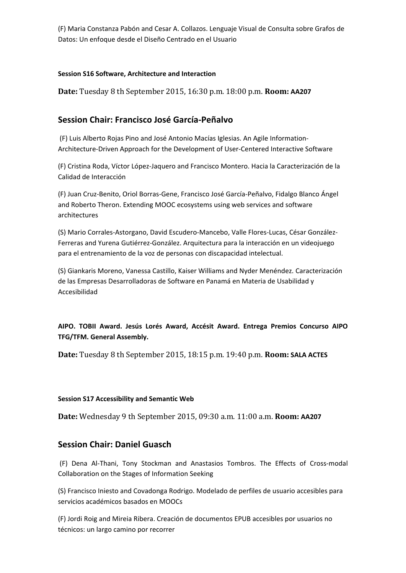(F) Maria Constanza Pabón and Cesar A. Collazos. Lenguaje Visual de Consulta sobre Grafos de Datos: Un enfoque desde el Diseño Centrado en el Usuario

#### **Session S16 Software, Architecture and Interaction**

**Date:** Tuesday 8 th September 2015, 16:30 p.m. 18:00 p.m. **Room: AA207**

#### **Session Chair: Francisco José García‐Peñalvo**

(F) Luis Alberto Rojas Pino and José Antonio Macías Iglesias. An Agile Information‐ Architecture‐Driven Approach for the Development of User‐Centered Interactive Software

(F) Cristina Roda, Víctor López‐Jaquero and Francisco Montero. Hacia la Caracterización de la Calidad de Interacción

(F) Juan Cruz‐Benito, Oriol Borras‐Gene, Francisco José García‐Peñalvo, Fidalgo Blanco Ángel and Roberto Theron. Extending MOOC ecosystems using web services and software architectures

(S) Mario Corrales‐Astorgano, David Escudero‐Mancebo, Valle Flores‐Lucas, César González‐ Ferreras and Yurena Gutiérrez‐González. Arquitectura para la interacción en un videojuego para el entrenamiento de la voz de personas con discapacidad intelectual.

(S) Giankaris Moreno, Vanessa Castillo, Kaiser Williams and Nyder Menéndez. Caracterización de las Empresas Desarrolladoras de Software en Panamá en Materia de Usabilidad y Accesibilidad

**AIPO. TOBII Award. Jesús Lorés Award, Accésit Award. Entrega Premios Concurso AIPO TFG/TFM. General Assembly.**

**Date:** Tuesday 8 th September 2015, 18:15 p.m. 19:40 p.m. **Room: SALA ACTES**

#### **Session S17 Accessibility and Semantic Web**

**Date:** Wednesday 9 th September 2015, 09:30 a.m. 11:00 a.m. **Room: AA207**

#### **Session Chair: Daniel Guasch**

(F) Dena Al‐Thani, Tony Stockman and Anastasios Tombros. The Effects of Cross‐modal Collaboration on the Stages of Information Seeking

(S) Francisco Iniesto and Covadonga Rodrigo. Modelado de perfiles de usuario accesibles para servicios académicos basados en MOOCs

(F) Jordi Roig and Mireia Ribera. Creación de documentos EPUB accesibles por usuarios no técnicos: un largo camino por recorrer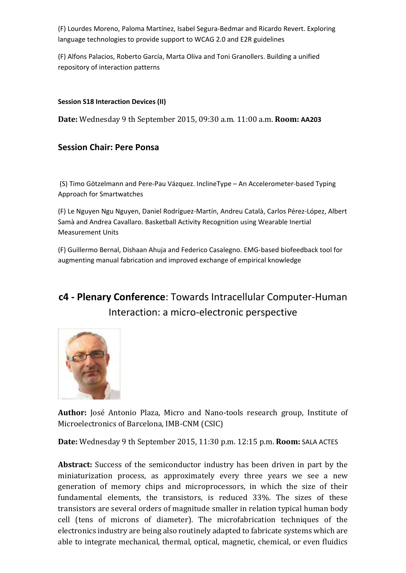(F) Lourdes Moreno, Paloma Martínez, Isabel Segura‐Bedmar and Ricardo Revert. Exploring language technologies to provide support to WCAG 2.0 and E2R guidelines

(F) Alfons Palacios, Roberto García, Marta Oliva and Toni Granollers. Building a unified repository of interaction patterns

#### **Session S18 Interaction Devices (II)**

**Date:** Wednesday 9 th September 2015, 09:30 a.m. 11:00 a.m. **Room: AA203**

#### **Session Chair: Pere Ponsa**

(S) Timo Götzelmann and Pere‐Pau Vázquez. InclineType – An Accelerometer‐based Typing Approach for Smartwatches

(F) Le Nguyen Ngu Nguyen, Daniel Rodríguez‐Martín, Andreu Català, Carlos Pérez‐López, Albert Samà and Andrea Cavallaro. Basketball Activity Recognition using Wearable Inertial Measurement Units

(F) Guillermo Bernal, Dishaan Ahuja and Federico Casalegno. EMG‐based biofeedback tool for augmenting manual fabrication and improved exchange of empirical knowledge

## **c4 ‐ Plenary Conference**: Towards Intracellular Computer‐Human Interaction: a micro‐electronic perspective



**Author:** José Antonio Plaza, Micro and Nano-tools research group, Institute of Microelectronics of Barcelona, IMB-CNM (CSIC)

**Date:** Wednesday 9 th September 2015, 11:30 p.m. 12:15 p.m. **Room:** SALA ACTES

**Abstract:** Success of the semiconductor industry has been driven in part by the miniaturization process, as approximately every three years we see a new generation of memory chips and microprocessors, in which the size of their fundamental elements, the transistors, is reduced 33%. The sizes of these transistors are several orders of magnitude smaller in relation typical human body cell (tens of microns of diameter). The microfabrication techniques of the electronics industry are being also routinely adapted to fabricate systems which are able to integrate mechanical, thermal, optical, magnetic, chemical, or even fluidics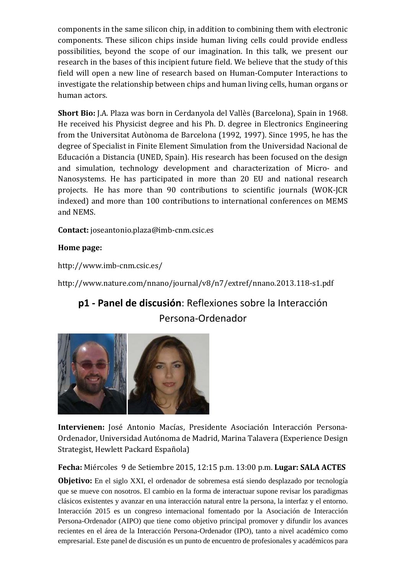components in the same silicon chip, in addition to combining them with electronic components. These silicon chips inside human living cells could provide endless possibilities, beyond the scope of our imagination. In this talk, we present our research in the bases of this incipient future field. We believe that the study of this field will open a new line of research based on Human-Computer Interactions to investigate the relationship between chips and human living cells, human organs or human actors.

**Short Bio:** J.A. Plaza was born in Cerdanyola del Vallès (Barcelona), Spain in 1968. He received his Physicist degree and his Ph. D. degree in Electronics Engineering from the Universitat Autònoma de Barcelona (1992, 1997). Since 1995, he has the degree of Specialist in Finite Element Simulation from the Universidad Nacional de Educación a Distancia (UNED, Spain). His research has been focused on the design and simulation, technology development and characterization of Micro- and Nanosystems. He has participated in more than 20 EU and national research projects. He has more than 90 contributions to scientific journals (WOK-JCR indexed) and more than 100 contributions to international conferences on MEMS and NEMS.

**Contact:** joseantonio.plaza@imb‐cnm.csic.es

#### **Home page:**

http://www.imb‐cnm.csic.es/ 

http://www.nature.com/nnano/journal/v8/n7/extref/nnano.2013.118‐s1.pdf 

## **p1 ‐ Panel de discusión**: Reflexiones sobre la Interacción Persona‐Ordenador



Intervienen: José Antonio Macías, Presidente Asociación Interacción Persona-Ordenador, Universidad Autónoma de Madrid, Marina Talavera (Experience Design Strategist, Hewlett Packard Española)

**Fecha:** Miércoles 9 de Setiembre 2015, 12:15 p.m. 13:00 p.m. **Lugar: SALA ACTES**

**Objetivo:** En el siglo XXI, el ordenador de sobremesa está siendo desplazado por tecnología que se mueve con nosotros. El cambio en la forma de interactuar supone revisar los paradigmas clásicos existentes y avanzar en una interacción natural entre la persona, la interfaz y el entorno. Interacción 2015 es un congreso internacional fomentado por la Asociación de Interacción Persona-Ordenador (AIPO) que tiene como objetivo principal promover y difundir los avances recientes en el área de la Interacción Persona-Ordenador (IPO), tanto a nivel académico como empresarial. Este panel de discusión es un punto de encuentro de profesionales y académicos para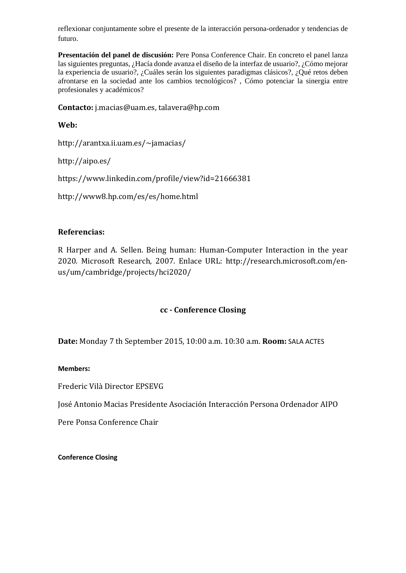reflexionar conjuntamente sobre el presente de la interacción persona-ordenador y tendencias de futuro.

**Presentación del panel de discusión:** Pere Ponsa Conference Chair. En concreto el panel lanza las siguientes preguntas, ¿Hacía donde avanza el diseño de la interfaz de usuario?, ¿Cómo mejorar la experiencia de usuario?, ¿Cuáles serán los siguientes paradigmas clásicos?, ¿Qué retos deben afrontarse en la sociedad ante los cambios tecnológicos? , Cómo potenciar la sinergia entre profesionales y académicos?

**Contacto:** j.macias@uam.es, talavera@hp.com

**Web:**

http://arantxa.ii.uam.es/~jamacias/ 

http://aipo.es/ 

https://www.linkedin.com/profile/view?id=21666381 

http://www8.hp.com/es/es/home.html 

#### **Referencias:**

R Harper and A. Sellen. Being human: Human-Computer Interaction in the year 2020. Microsoft Research, 2007. Enlace URL: http://research.microsoft.com/enus/um/cambridge/projects/hci2020/ 

#### **cc ‐ Conference Closing**

**Date:** Monday 7 th September 2015, 10:00 a.m. 10:30 a.m. **Room:** SALA ACTES

#### **Members:**

Frederic Vilà Director EPSEVG 

José Antonio Macias Presidente Asociación Interacción Persona Ordenador AIPO 

Pere Ponsa Conference Chair

**Conference Closing**